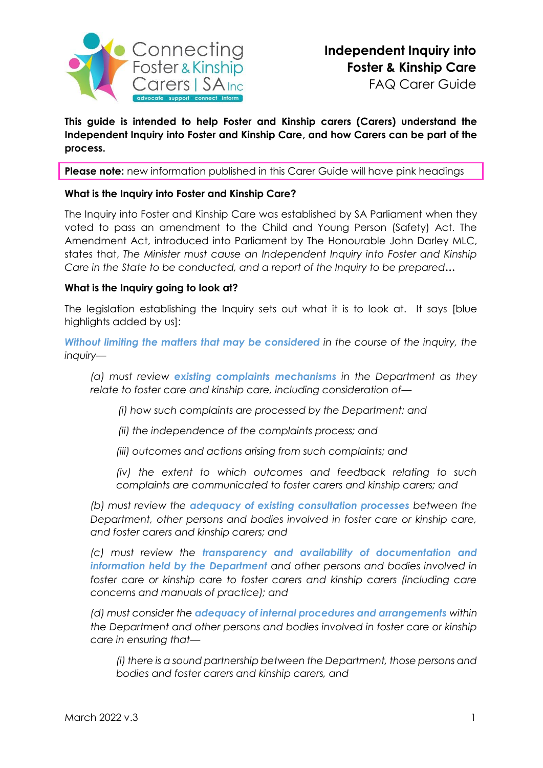

**This guide is intended to help Foster and Kinship carers (Carers) understand the Independent Inquiry into Foster and Kinship Care, and how Carers can be part of the process.** 

**Please note:** new information published in this Carer Guide will have pink headings

#### **What is the Inquiry into Foster and Kinship Care?**

The Inquiry into Foster and Kinship Care was established by SA Parliament when they voted to pass an amendment to the Child and Young Person (Safety) Act. The [Amendment](https://www.legislation.sa.gov.au/__legislation/lz/b/current/children%20and%20young%20people%20(safety)%20(inquiry%20into%20foster%20and%20kinship%20care)%20amendment%20bill%202021_hon%20john%20darley%20mlc/b_as%20passed%20lc/children%20care%20amendment%20bill%202021.un.pdf) Act, introduced into Parliament by The Honourable John Darley MLC, states that, *The Minister must cause an Independent Inquiry into Foster and Kinship Care in the State to be conducted, and a report of the Inquiry to be prepared***…**

#### **What is the Inquiry going to look at?**

The legislation establishing the Inquiry sets out what it is to look at. It says [blue highlights added by us]:

*Without limiting the matters that may be considered in the course of the inquiry, the inquiry—*

*(a) must review existing complaints mechanisms in the Department as they relate to foster care and kinship care, including consideration of—*

 *(i) how such complaints are processed by the Department; and* 

 *(ii) the independence of the complaints process; and* 

*(iii) outcomes and actions arising from such complaints; and* 

*(iv) the extent to which outcomes and feedback relating to such complaints are communicated to foster carers and kinship carers; and* 

*(b) must review the adequacy of existing consultation processes between the Department, other persons and bodies involved in foster care or kinship care, and foster carers and kinship carers; and* 

*(c) must review the transparency and availability of documentation and information held by the Department and other persons and bodies involved in*  foster care or kinship care to foster carers and kinship carers (including care *concerns and manuals of practice); and* 

*(d) must consider the adequacy of internal procedures and arrangements within the Department and other persons and bodies involved in foster care or kinship care in ensuring that—*

*(i) there is a sound partnership between the Department, those persons and bodies and foster carers and kinship carers, and*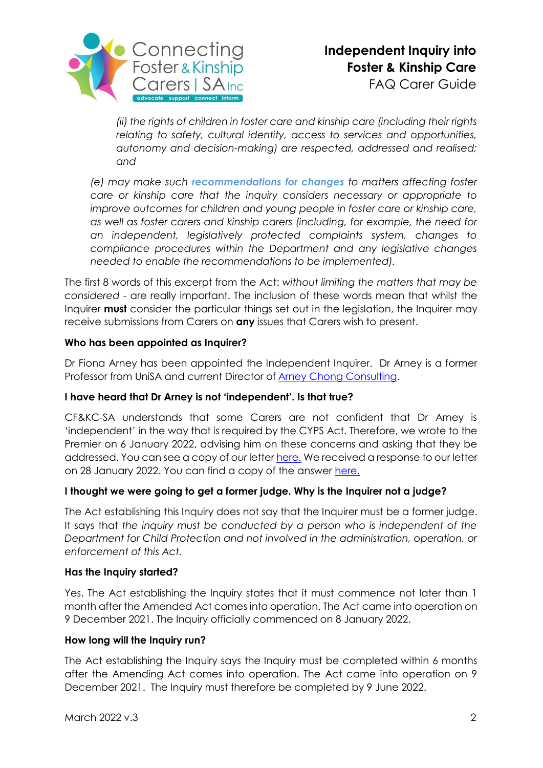

*(ii) the rights of children in foster care and kinship care (including their rights relating to safety, cultural identity, access to services and opportunities, autonomy and decision-making) are respected, addressed and realised; and* 

*(e) may make such recommendations for changes to matters affecting foster care or kinship care that the inquiry considers necessary or appropriate to improve outcomes for children and young people in foster care or kinship care, as well as foster carers and kinship carers (including, for example, the need for an independent, legislatively protected complaints system, changes to compliance procedures within the Department and any legislative changes needed to enable the recommendations to be implemented).*

The first 8 words of this excerpt from the Act: *without limiting the matters that may be considered* - are really important. The inclusion of these words mean that whilst the Inquirer **must** consider the particular things set out in the legislation, the Inquirer may receive submissions from Carers on **any** issues that Carers wish to present.

## **Who has been appointed as Inquirer?**

Dr Fiona Arney has been appointed the Independent Inquirer. Dr Arney is a former Professor from UniSA and current Director of [Arney Chong Consulting.](https://arneychongconsulting.com/)

## **I have heard that Dr Arney is not 'independent'. Is that true?**

CF&KC-SA understands that some Carers are not confident that Dr Arney is 'independent' in the way that is required by the CYPS Act. Therefore, we wrote to the Premier on 6 January 2022, advising him on these concerns and asking that they be addressed. You can see a copy of *our* letter [here.](https://cfc-sa.org.au/wp-content/uploads/2022/02/CFKC_SA-Letter-to-Premier-Independent-Inquiry_Jan2022.pdf) We received a response to our letter on 28 January 2022. You can find a copy of the answer [here.](https://cfc-sa.org.au/wp-content/uploads/2022/02/Letter_Minister-Sanderson-response_27Jan22-.pdf)

## **I thought we were going to get a former judge. Why is the Inquirer not a judge?**

The Act establishing this Inquiry does not say that the Inquirer must be a former judge. It says that *the inquiry must be conducted by a person who is independent of the Department for Child Protection and not involved in the administration, operation, or enforcement of this Act.*

## **Has the Inquiry started?**

Yes. The Act establishing the Inquiry states that it must commence not later than 1 month after the Amended Act comes into operation. The Act came into operation on 9 December 2021. The Inquiry officially commenced on 8 January 2022.

## **How long will the Inquiry run?**

The Act establishing the Inquiry says the Inquiry must be completed within 6 months after the Amending Act comes into operation. The Act came into operation on 9 December 2021. The Inquiry must therefore be completed by 9 June 2022.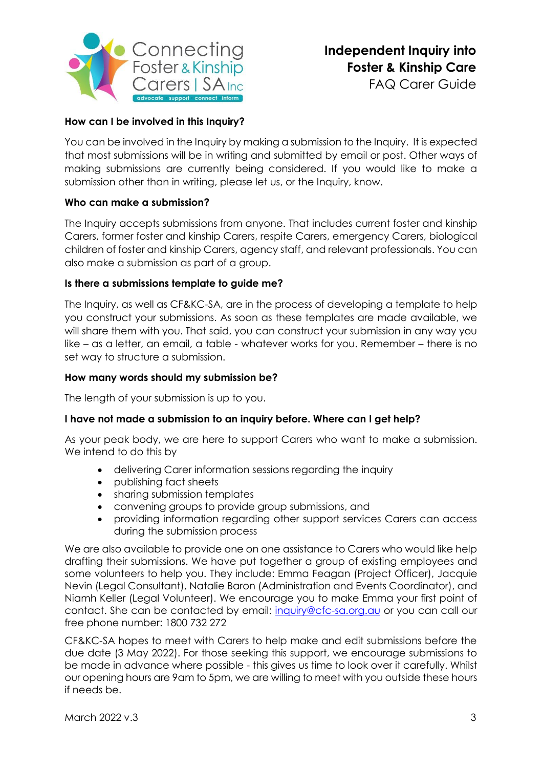

FAQ Carer Guide

# **How can I be involved in this Inquiry?**

You can be involved in the Inquiry by making a submission to the Inquiry. It is expected that most submissions will be in writing and submitted by email or post. Other ways of making submissions are currently being considered. If you would like to make a submission other than in writing, please let us, or the Inquiry, know.

# **Who can make a submission?**

The Inquiry accepts submissions from anyone. That includes current foster and kinship Carers, former foster and kinship Carers, respite Carers, emergency Carers, biological children of foster and kinship Carers, agency staff, and relevant professionals. You can also make a submission as part of a group.

## **Is there a submissions template to guide me?**

The Inquiry, as well as CF&KC-SA, are in the process of developing a template to help you construct your submissions. As soon as these templates are made available, we will share them with you. That said, you can construct your submission in any way you like – as a letter, an email, a table - whatever works for you. Remember – there is no set way to structure a submission.

#### **How many words should my submission be?**

The length of your submission is up to you.

## **I have not made a submission to an inquiry before. Where can I get help?**

As your peak body, we are here to support Carers who want to make a submission. We intend to do this by

- delivering Carer information sessions regarding the inquiry
- publishing fact sheets
- sharing submission templates
- convening groups to provide group submissions, and
- providing information regarding other support services Carers can access during the submission process

We are also available to provide one on one assistance to Carers who would like help drafting their submissions. We have put together a group of existing employees and some volunteers to help you. They include: Emma Feagan (Project Officer), Jacquie Nevin (Legal Consultant), Natalie Baron (Administration and Events Coordinator), and Niamh Keller (Legal Volunteer). We encourage you to make Emma your first point of contact. She can be contacted by email: [inquiry@cfc-sa.org.au](mailto:inquiry@cfc-sa.org.au) or you can call our free phone number: 1800 732 272

CF&KC-SA hopes to meet with Carers to help make and edit submissions before the due date (3 May 2022). For those seeking this support, we encourage submissions to be made in advance where possible - this gives us time to look over it carefully. Whilst our opening hours are 9am to 5pm, we are willing to meet with you outside these hours if needs be.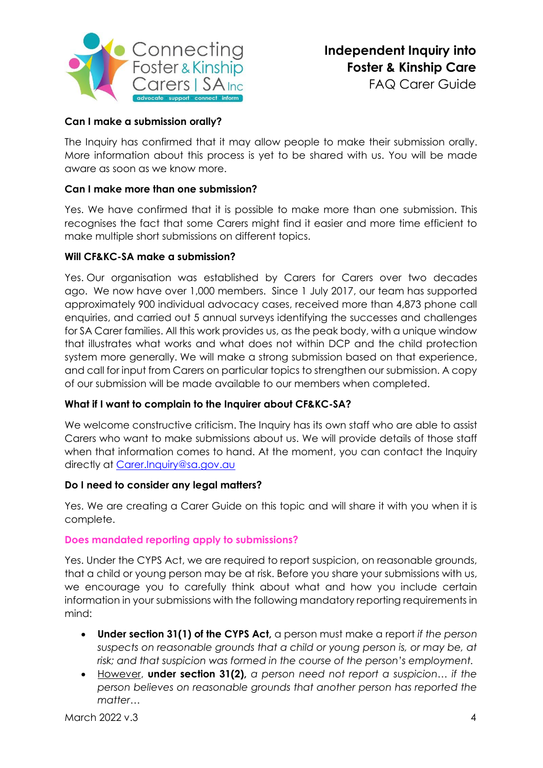

FAQ Carer Guide

# **Can I make a submission orally?**

The Inquiry has confirmed that it may allow people to make their submission orally. More information about this process is yet to be shared with us. You will be made aware as soon as we know more.

## **Can I make more than one submission?**

Yes. We have confirmed that it is possible to make more than one submission. This recognises the fact that some Carers might find it easier and more time efficient to make multiple short submissions on different topics.

#### **Will CF&KC-SA make a submission?**

Yes. Our organisation was established by Carers for Carers over two decades ago. We now have over 1,000 members. Since 1 July 2017, our team has supported approximately 900 individual advocacy cases, received more than 4,873 phone call enquiries, and carried out 5 annual surveys identifying the successes and challenges for SA Carer families. All this work provides us, as the peak body, with a unique window that illustrates what works and what does not within DCP and the child protection system more generally. We will make a strong submission based on that experience, and call for input from Carers on particular topics to strengthen our submission. A copy of our submission will be made available to our members when completed.

## **What if I want to complain to the Inquirer about CF&KC-SA?**

We welcome constructive criticism. The Inquiry has its own staff who are able to assist Carers who want to make submissions about us. We will provide details of those staff when that information comes to hand. At the moment, you can contact the Inquiry directly at [Carer.Inquiry@sa.gov.au](mailto:Carer.Inquiry@sa.gov.au)

#### **Do I need to consider any legal matters?**

Yes. We are creating a Carer Guide on this topic and will share it with you when it is complete.

#### **Does mandated reporting apply to submissions?**

Yes. Under the CYPS Act, we are required to report suspicion, on reasonable grounds, that a child or young person may be at risk. Before you share your submissions with us, we encourage you to carefully think about what and how you include certain information in your submissions with the following mandatory reporting requirements in mind:

- **Under section 31(1) of the CYPS Act,** a person must make a report *if the person suspects on reasonable grounds that a child or young person is, or may be, at risk; and that suspicion was formed in the course of the person's employment.*
- However, **under section 31(2),** *a person need not report a suspicion… if the person believes on reasonable grounds that another person has reported the matter…*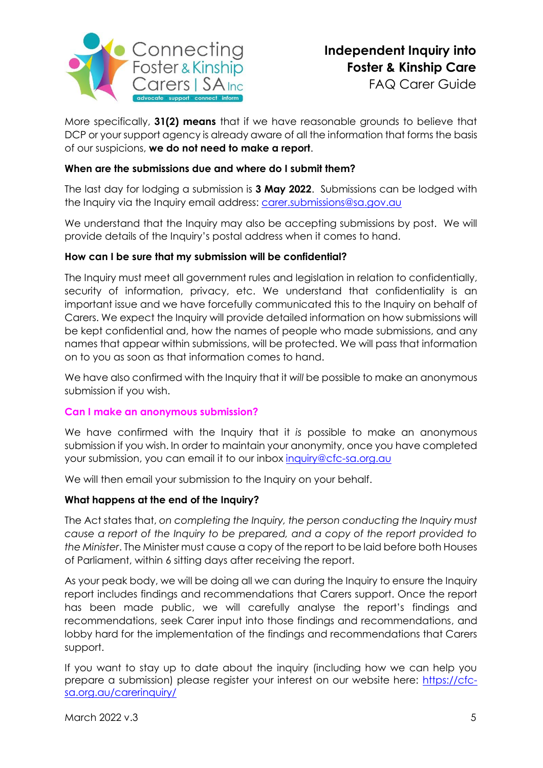

More specifically, **31(2) means** that if we have reasonable grounds to believe that DCP or your support agency is already aware of all the information that forms the basis of our suspicions, **we do not need to make a report**.

## **When are the submissions due and where do I submit them?**

The last day for lodging a submission is **3 May 2022**. Submissions can be lodged with the Inquiry via the Inquiry email address: [carer.submissions@sa.gov.au](mailto:carer.submissions@sa.gov.au)

We understand that the Inquiry may also be accepting submissions by post. We will provide details of the Inquiry's postal address when it comes to hand.

#### **How can I be sure that my submission will be confidential?**

The Inquiry must meet all government rules and legislation in relation to confidentially, security of information, privacy, etc. We understand that confidentiality is an important issue and we have forcefully communicated this to the Inquiry on behalf of Carers. We expect the Inquiry will provide detailed information on how submissions will be kept confidential and, how the names of people who made submissions, and any names that appear within submissions, will be protected. We will pass that information on to you as soon as that information comes to hand.

We have also confirmed with the Inquiry that it *will* be possible to make an anonymous submission if you wish.

#### **Can I make an anonymous submission?**

We have confirmed with the Inquiry that it *is* possible to make an anonymous submission if you wish. In order to maintain your anonymity, once you have completed your submission, you can email it to our inbox [inquiry@cfc-sa.org.au](mailto:inquiry@cfc-sa.org.au)

We will then email your submission to the Inquiry on your behalf.

#### **What happens at the end of the Inquiry?**

The Act states that, *on completing the Inquiry, the person conducting the Inquiry must cause a report of the Inquiry to be prepared, and a copy of the report provided to the Minister*. The Minister must cause a copy of the report to be laid before both Houses of Parliament, within 6 sitting days after receiving the report.

As your peak body, we will be doing all we can during the Inquiry to ensure the Inquiry report includes findings and recommendations that Carers support. Once the report has been made public, we will carefully analyse the report's findings and recommendations, seek Carer input into those findings and recommendations, and lobby hard for the implementation of the findings and recommendations that Carers support.

If you want to stay up to date about the inquiry (including how we can help you prepare a submission) please register your interest on our website here: [https://cfc](https://cfc-sa.org.au/carerinquiry/)[sa.org.au/carerinquiry/](https://cfc-sa.org.au/carerinquiry/)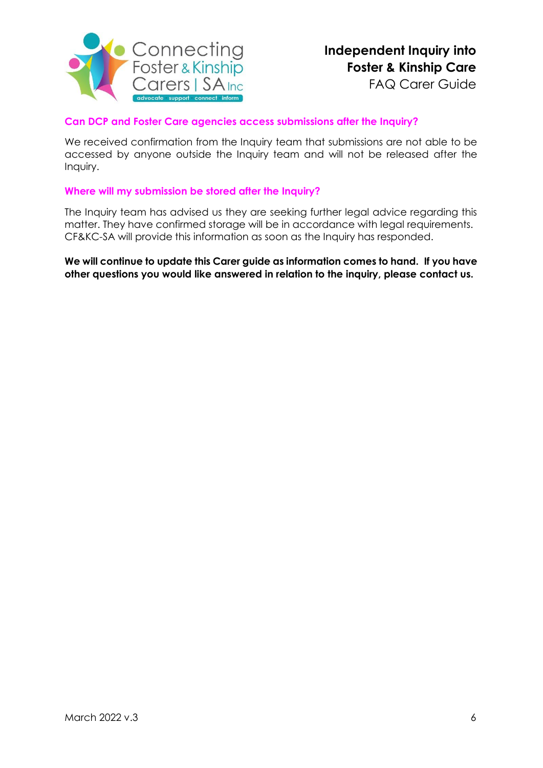

## **Can DCP and Foster Care agencies access submissions after the Inquiry?**

We received confirmation from the Inquiry team that submissions are not able to be accessed by anyone outside the Inquiry team and will not be released after the Inquiry.

#### **Where will my submission be stored after the Inquiry?**

The Inquiry team has advised us they are seeking further legal advice regarding this matter. They have confirmed storage will be in accordance with legal requirements. CF&KC-SA will provide this information as soon as the Inquiry has responded.

**We will continue to update this Carer guide as information comes to hand. If you have other questions you would like answered in relation to the inquiry, please contact us.**